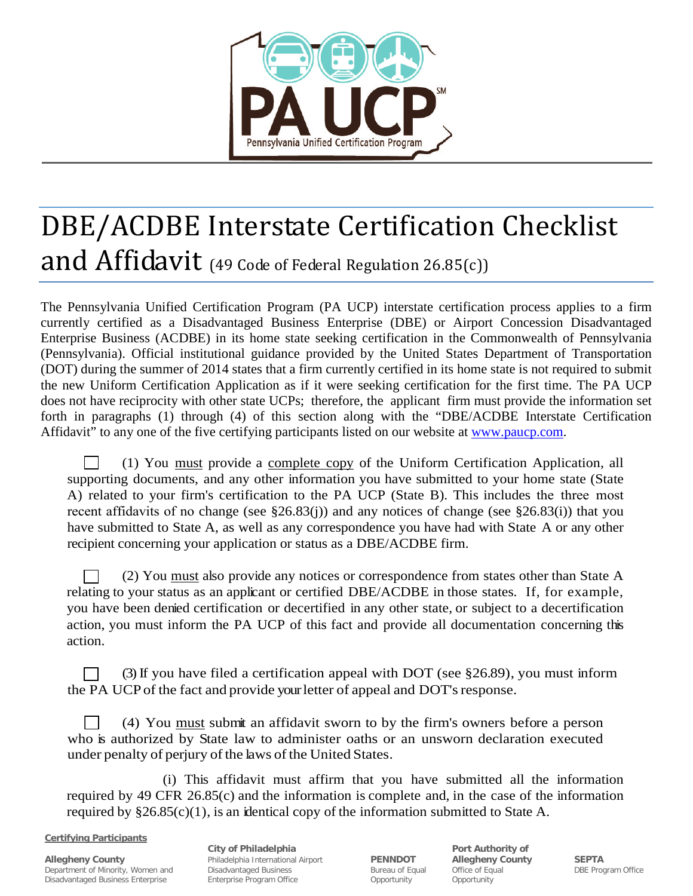

## DBE/ACDBE Interstate Certification Checklist and Affidavit (49 Code of Federal Regulation 26.85(c))

The Pennsylvania Unified Certification Program (PA UCP) interstate certification process applies to a firm currently certified as a Disadvantaged Business Enterprise (DBE) or Airport Concession Disadvantaged Enterprise Business (ACDBE) in its home state seeking certification in the Commonwealth of Pennsylvania (Pennsylvania). Official institutional guidance provided by the United States Department of Transportation (DOT) during the summer of 2014 states that a firm currently certified in its home state is not required to submit the new Uniform Certification Application as if it were seeking certification for the first time. The PA UCP does not have reciprocity with other state UCPs; therefore, the applicant firm must provide the information set forth in paragraphs (1) through (4) of this section along with the "DBE/ACDBE Interstate Certification Affidavit" to any one of the five certifying participants listed on our website at [www.paucp.com.](http://www.paucp.com/)

 (1) You must provide a complete copy of the Uniform Certification Application, all supporting documents, and any other information you have submitted to your home state (State A) related to your firm's certification to the PA UCP (State B). This includes the three most recent affidavits of no change (see  $\S26.83(i)$ ) and any notices of change (see  $\S26.83(i)$ ) that you have submitted to State A, as well as any correspondence you have had with State A or any other recipient concerning your application or status as a DBE/ACDBE firm.

 (2) You must also provide any notices or correspondence from states other than State A relating to your status as an applicant or certified DBE/ACDBE in those states. If, for example, you have been denied certification or decertified in any other state, or subject to a decertification action, you must inform the PA UCP of this fact and provide all documentation concerning this action.

 (3) If you have filed a certification appeal with DOT (see §26.89), you must inform the PA UCP of the fact and provide your letter of appeal and DOT's response.

 (4) You must submit an affidavit sworn to by the firm's owners before a person who is authorized by State law to administer oaths or an unsworn declaration executed under penalty of perjury of the laws of the United States.

(i) This affidavit must affirm that you have submitted all the information required by 49 CFR 26.85(c) and the information is complete and, in the case of the information required by  $§26.85(c)(1)$ , is an identical copy of the information submitted to State A.

**Certifying Participants**

**Allegheny County County Philadelphia International Airport PENNDOT Allegheny County SEPTA Propertment of Minority, Women and Disadvantaged Business <b>Bureau of Equal** Office of Equal **DBE** Prop Department of Minority, Women and Disadvantaged Business Bureau of Equal Office of Equal DBE Program Office Disadvantaged Business Enterprise Enterprise Program Office Opportunity Opportunity

**City of Philadelphia Port Authority of Philadelphia Port Authority of**